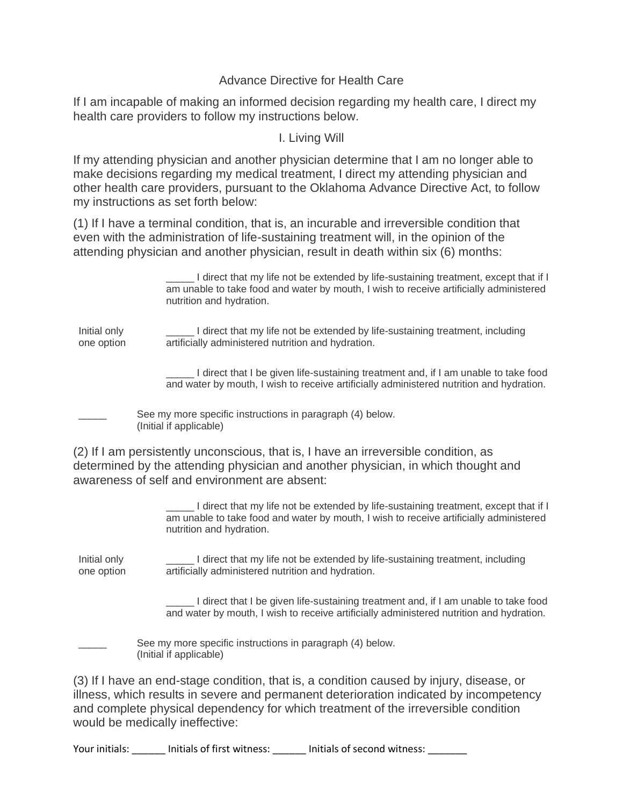## Advance Directive for Health Care

If I am incapable of making an informed decision regarding my health care, I direct my health care providers to follow my instructions below.

I. Living Will

If my attending physician and another physician determine that I am no longer able to make decisions regarding my medical treatment, I direct my attending physician and other health care providers, pursuant to the Oklahoma Advance Directive Act, to follow my instructions as set forth below:

(1) If I have a terminal condition, that is, an incurable and irreversible condition that even with the administration of life-sustaining treatment will, in the opinion of the attending physician and another physician, result in death within six (6) months:

|                            | I direct that my life not be extended by life-sustaining treatment, except that if I<br>am unable to take food and water by mouth, I wish to receive artificially administered<br>nutrition and hydration. |
|----------------------------|------------------------------------------------------------------------------------------------------------------------------------------------------------------------------------------------------------|
| Initial only<br>one option | I direct that my life not be extended by life-sustaining treatment, including<br>artificially administered nutrition and hydration.                                                                        |
|                            | I direct that I be given life-sustaining treatment and, if I am unable to take food<br>and water by mouth, I wish to receive artificially administered nutrition and hydration.                            |
|                            | See my more specific instructions in paragraph (4) below.<br>(Initial if applicable)                                                                                                                       |

(2) If I am persistently unconscious, that is, I have an irreversible condition, as determined by the attending physician and another physician, in which thought and awareness of self and environment are absent:

> \_\_\_\_\_ I direct that my life not be extended by life-sustaining treatment, except that if I am unable to take food and water by mouth, I wish to receive artificially administered nutrition and hydration.

Initial only one option \_\_\_\_\_ I direct that my life not be extended by life-sustaining treatment, including artificially administered nutrition and hydration.

> I direct that I be given life-sustaining treatment and, if I am unable to take food and water by mouth, I wish to receive artificially administered nutrition and hydration.

See my more specific instructions in paragraph (4) below. (Initial if applicable)

(3) If I have an end-stage condition, that is, a condition caused by injury, disease, or illness, which results in severe and permanent deterioration indicated by incompetency and complete physical dependency for which treatment of the irreversible condition would be medically ineffective:

Your initials: \_\_\_\_\_\_\_ Initials of first witness: \_\_\_\_\_\_\_ Initials of second witness: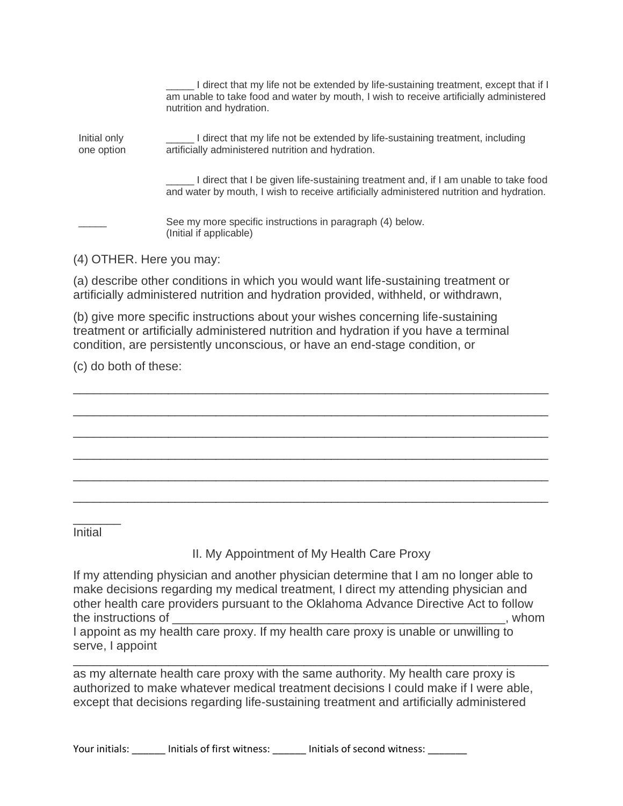I direct that my life not be extended by life-sustaining treatment, except that if I am unable to take food and water by mouth, I wish to receive artificially administered nutrition and hydration. Initial only one option \_\_\_\_\_ I direct that my life not be extended by life-sustaining treatment, including artificially administered nutrition and hydration. I direct that I be given life-sustaining treatment and, if I am unable to take food and water by mouth, I wish to receive artificially administered nutrition and hydration. See my more specific instructions in paragraph (4) below. (Initial if applicable)

(4) OTHER. Here you may:

(a) describe other conditions in which you would want life-sustaining treatment or artificially administered nutrition and hydration provided, withheld, or withdrawn,

(b) give more specific instructions about your wishes concerning life-sustaining treatment or artificially administered nutrition and hydration if you have a terminal condition, are persistently unconscious, or have an end-stage condition, or

\_\_\_\_\_\_\_\_\_\_\_\_\_\_\_\_\_\_\_\_\_\_\_\_\_\_\_\_\_\_\_\_\_\_\_\_\_\_\_\_\_\_\_\_\_\_\_\_\_\_\_\_\_\_\_\_\_\_\_\_\_\_\_\_\_\_\_\_\_\_

\_\_\_\_\_\_\_\_\_\_\_\_\_\_\_\_\_\_\_\_\_\_\_\_\_\_\_\_\_\_\_\_\_\_\_\_\_\_\_\_\_\_\_\_\_\_\_\_\_\_\_\_\_\_\_\_\_\_\_\_\_\_\_\_\_\_\_\_\_\_

\_\_\_\_\_\_\_\_\_\_\_\_\_\_\_\_\_\_\_\_\_\_\_\_\_\_\_\_\_\_\_\_\_\_\_\_\_\_\_\_\_\_\_\_\_\_\_\_\_\_\_\_\_\_\_\_\_\_\_\_\_\_\_\_\_\_\_\_\_\_

\_\_\_\_\_\_\_\_\_\_\_\_\_\_\_\_\_\_\_\_\_\_\_\_\_\_\_\_\_\_\_\_\_\_\_\_\_\_\_\_\_\_\_\_\_\_\_\_\_\_\_\_\_\_\_\_\_\_\_\_\_\_\_\_\_\_\_\_\_\_

\_\_\_\_\_\_\_\_\_\_\_\_\_\_\_\_\_\_\_\_\_\_\_\_\_\_\_\_\_\_\_\_\_\_\_\_\_\_\_\_\_\_\_\_\_\_\_\_\_\_\_\_\_\_\_\_\_\_\_\_\_\_\_\_\_\_\_\_\_\_

\_\_\_\_\_\_\_\_\_\_\_\_\_\_\_\_\_\_\_\_\_\_\_\_\_\_\_\_\_\_\_\_\_\_\_\_\_\_\_\_\_\_\_\_\_\_\_\_\_\_\_\_\_\_\_\_\_\_\_\_\_\_\_\_\_\_\_\_\_\_

(c) do both of these:

Initial

\_\_\_\_\_\_\_

II. My Appointment of My Health Care Proxy

If my attending physician and another physician determine that I am no longer able to make decisions regarding my medical treatment, I direct my attending physician and other health care providers pursuant to the Oklahoma Advance Directive Act to follow the instructions of \_\_\_\_\_\_\_\_\_\_\_\_\_\_\_\_\_\_\_\_\_\_\_\_\_\_\_\_\_\_\_\_\_\_\_\_\_\_\_\_\_\_\_\_\_\_\_\_\_, whom

I appoint as my health care proxy. If my health care proxy is unable or unwilling to serve, I appoint

as my alternate health care proxy with the same authority. My health care proxy is authorized to make whatever medical treatment decisions I could make if I were able, except that decisions regarding life-sustaining treatment and artificially administered

\_\_\_\_\_\_\_\_\_\_\_\_\_\_\_\_\_\_\_\_\_\_\_\_\_\_\_\_\_\_\_\_\_\_\_\_\_\_\_\_\_\_\_\_\_\_\_\_\_\_\_\_\_\_\_\_\_\_\_\_\_\_\_\_\_\_\_\_\_\_

Your initials: entitials of first witness: entitials of second witness: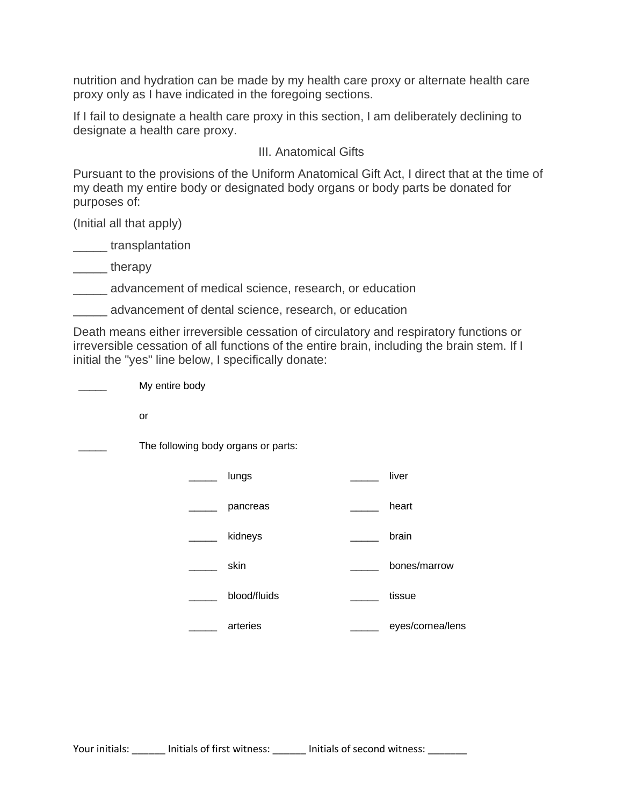nutrition and hydration can be made by my health care proxy or alternate health care proxy only as I have indicated in the foregoing sections.

If I fail to designate a health care proxy in this section, I am deliberately declining to designate a health care proxy.

## III. Anatomical Gifts

Pursuant to the provisions of the Uniform Anatomical Gift Act, I direct that at the time of my death my entire body or designated body organs or body parts be donated for purposes of:

(Initial all that apply)

\_\_\_\_\_ transplantation

\_\_\_\_\_ therapy

\_\_\_\_\_ advancement of medical science, research, or education

\_\_\_\_\_ advancement of dental science, research, or education

Death means either irreversible cessation of circulatory and respiratory functions or irreversible cessation of all functions of the entire brain, including the brain stem. If I initial the "yes" line below, I specifically donate:

My entire body

or

The following body organs or parts:

| lungs        | liver        |
|--------------|--------------|
| pancreas     | heart        |
| kidneys      | brain        |
| skin         | bones/marrow |
| blood/fluids | tissue       |
|              |              |

eyes/cornea/lens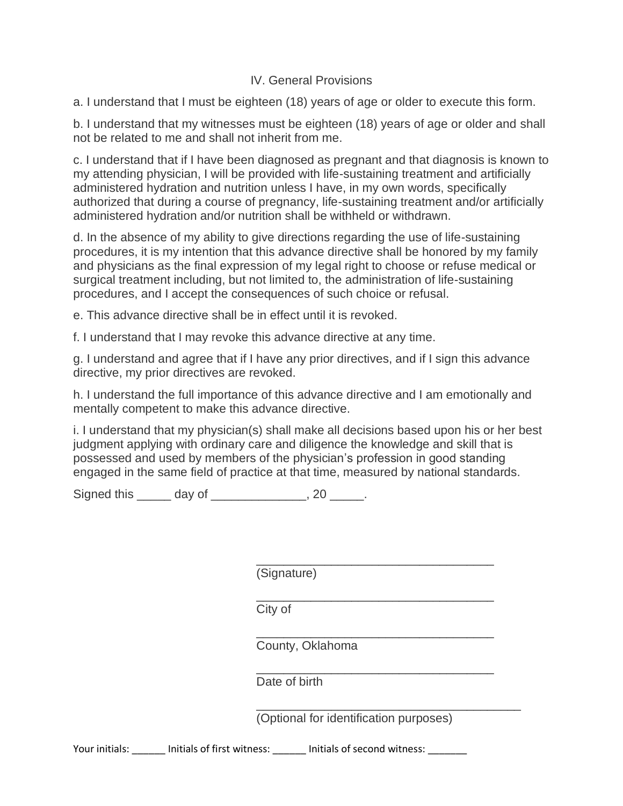## IV. General Provisions

a. I understand that I must be eighteen (18) years of age or older to execute this form.

b. I understand that my witnesses must be eighteen (18) years of age or older and shall not be related to me and shall not inherit from me.

c. I understand that if I have been diagnosed as pregnant and that diagnosis is known to my attending physician, I will be provided with life-sustaining treatment and artificially administered hydration and nutrition unless I have, in my own words, specifically authorized that during a course of pregnancy, life-sustaining treatment and/or artificially administered hydration and/or nutrition shall be withheld or withdrawn.

d. In the absence of my ability to give directions regarding the use of life-sustaining procedures, it is my intention that this advance directive shall be honored by my family and physicians as the final expression of my legal right to choose or refuse medical or surgical treatment including, but not limited to, the administration of life-sustaining procedures, and I accept the consequences of such choice or refusal.

e. This advance directive shall be in effect until it is revoked.

f. I understand that I may revoke this advance directive at any time.

g. I understand and agree that if I have any prior directives, and if I sign this advance directive, my prior directives are revoked.

h. I understand the full importance of this advance directive and I am emotionally and mentally competent to make this advance directive.

i. I understand that my physician(s) shall make all decisions based upon his or her best judgment applying with ordinary care and diligence the knowledge and skill that is possessed and used by members of the physician's profession in good standing engaged in the same field of practice at that time, measured by national standards.

Signed this \_\_\_\_\_\_ day of \_\_\_\_\_\_\_\_\_\_\_\_\_\_, 20 \_\_\_\_\_.

\_\_\_\_\_\_\_\_\_\_\_\_\_\_\_\_\_\_\_\_\_\_\_\_\_\_\_\_\_\_\_\_\_\_\_ (Signature)

City of

\_\_\_\_\_\_\_\_\_\_\_\_\_\_\_\_\_\_\_\_\_\_\_\_\_\_\_\_\_\_\_\_\_\_\_ County, Oklahoma

\_\_\_\_\_\_\_\_\_\_\_\_\_\_\_\_\_\_\_\_\_\_\_\_\_\_\_\_\_\_\_\_\_\_\_ Date of birth

\_\_\_\_\_\_\_\_\_\_\_\_\_\_\_\_\_\_\_\_\_\_\_\_\_\_\_\_\_\_\_\_\_\_\_\_\_\_\_ (Optional for identification purposes)

\_\_\_\_\_\_\_\_\_\_\_\_\_\_\_\_\_\_\_\_\_\_\_\_\_\_\_\_\_\_\_\_\_\_\_

Your initials: \_\_\_\_\_\_ Initials of first witness: \_\_\_\_\_\_ Initials of second witness: \_\_\_\_\_\_\_